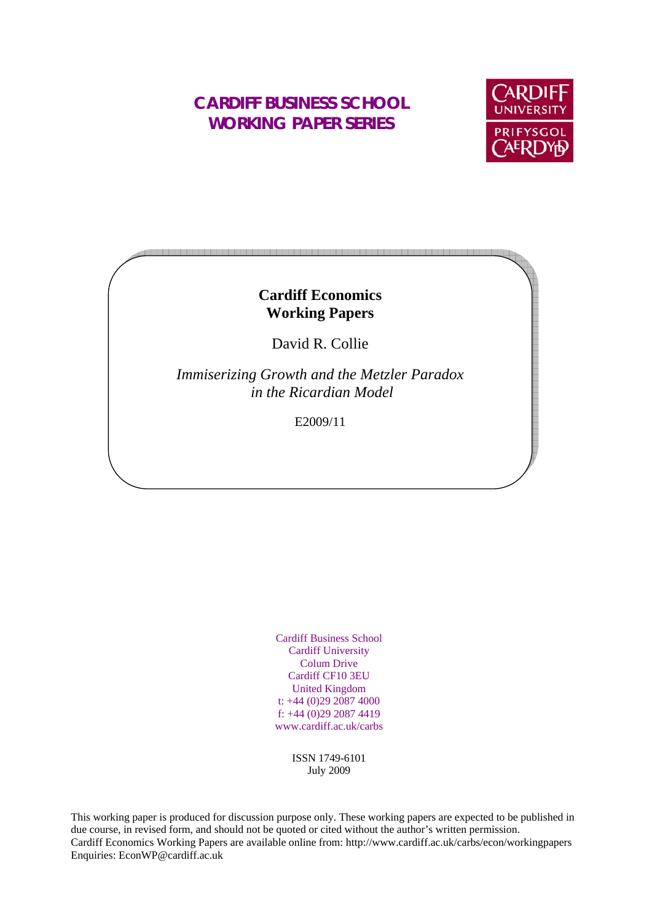# **CARDIFF BUSINESS SCHOOL WORKING PAPER SERIES**



# **Cardiff Economics Working Papers**

David R. Collie

*Immiserizing Growth and the Metzler Paradox in the Ricardian Model* 

E2009/11

Cardiff Business School Cardiff University Colum Drive Cardiff CF10 3EU United Kingdom t: +44 (0)29 2087 4000 f: +44 (0)29 2087 4419 www.cardiff.ac.uk/carbs

> ISSN 1749-6101 July 2009

This working paper is produced for discussion purpose only. These working papers are expected to be published in due course, in revised form, and should not be quoted or cited without the author's written permission. Cardiff Economics Working Papers are available online from: http://www.cardiff.ac.uk/carbs/econ/workingpapers Enquiries: EconWP@cardiff.ac.uk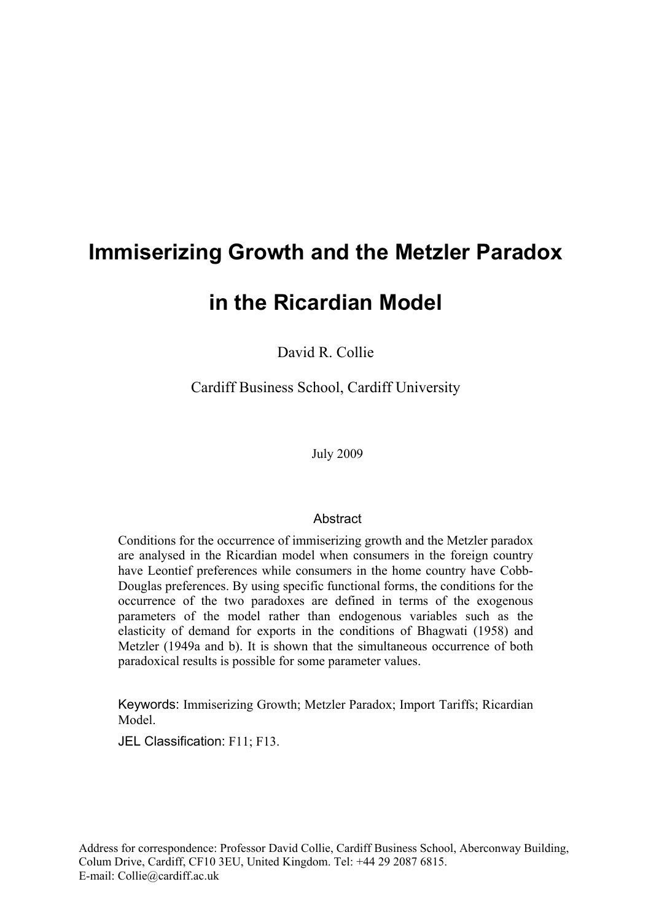# **Immiserizing Growth and the Metzler Paradox**

# **in the Ricardian Model**

David R. Collie

Cardiff Business School, Cardiff University

July 2009

# Abstract

Conditions for the occurrence of immiserizing growth and the Metzler paradox are analysed in the Ricardian model when consumers in the foreign country have Leontief preferences while consumers in the home country have Cobb-Douglas preferences. By using specific functional forms, the conditions for the occurrence of the two paradoxes are defined in terms of the exogenous parameters of the model rather than endogenous variables such as the elasticity of demand for exports in the conditions of Bhagwati (1958) and Metzler (1949a and b). It is shown that the simultaneous occurrence of both paradoxical results is possible for some parameter values.

Keywords: Immiserizing Growth; Metzler Paradox; Import Tariffs; Ricardian Model.

JEL Classification: F11; F13.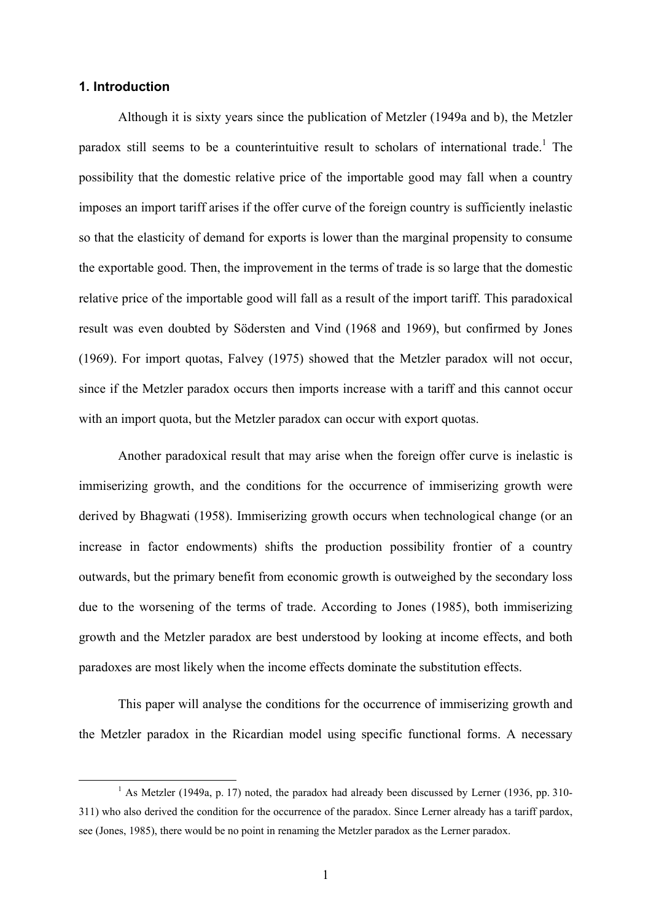## **1. Introduction**

Although it is sixty years since the publication of Metzler (1949a and b), the Metzler paradox still seems to be a counterintuitive result to scholars of international trade.<sup>1</sup> The possibility that the domestic relative price of the importable good may fall when a country imposes an import tariff arises if the offer curve of the foreign country is sufficiently inelastic so that the elasticity of demand for exports is lower than the marginal propensity to consume the exportable good. Then, the improvement in the terms of trade is so large that the domestic relative price of the importable good will fall as a result of the import tariff. This paradoxical result was even doubted by Södersten and Vind (1968 and 1969), but confirmed by Jones (1969). For import quotas, Falvey (1975) showed that the Metzler paradox will not occur, since if the Metzler paradox occurs then imports increase with a tariff and this cannot occur with an import quota, but the Metzler paradox can occur with export quotas.

Another paradoxical result that may arise when the foreign offer curve is inelastic is immiserizing growth, and the conditions for the occurrence of immiserizing growth were derived by Bhagwati (1958). Immiserizing growth occurs when technological change (or an increase in factor endowments) shifts the production possibility frontier of a country outwards, but the primary benefit from economic growth is outweighed by the secondary loss due to the worsening of the terms of trade. According to Jones (1985), both immiserizing growth and the Metzler paradox are best understood by looking at income effects, and both paradoxes are most likely when the income effects dominate the substitution effects.

This paper will analyse the conditions for the occurrence of immiserizing growth and the Metzler paradox in the Ricardian model using specific functional forms. A necessary

 $\frac{1}{1}$ <sup>1</sup> As Metzler (1949a, p. 17) noted, the paradox had already been discussed by Lerner (1936, pp. 310-311) who also derived the condition for the occurrence of the paradox. Since Lerner already has a tariff pardox, see (Jones, 1985), there would be no point in renaming the Metzler paradox as the Lerner paradox.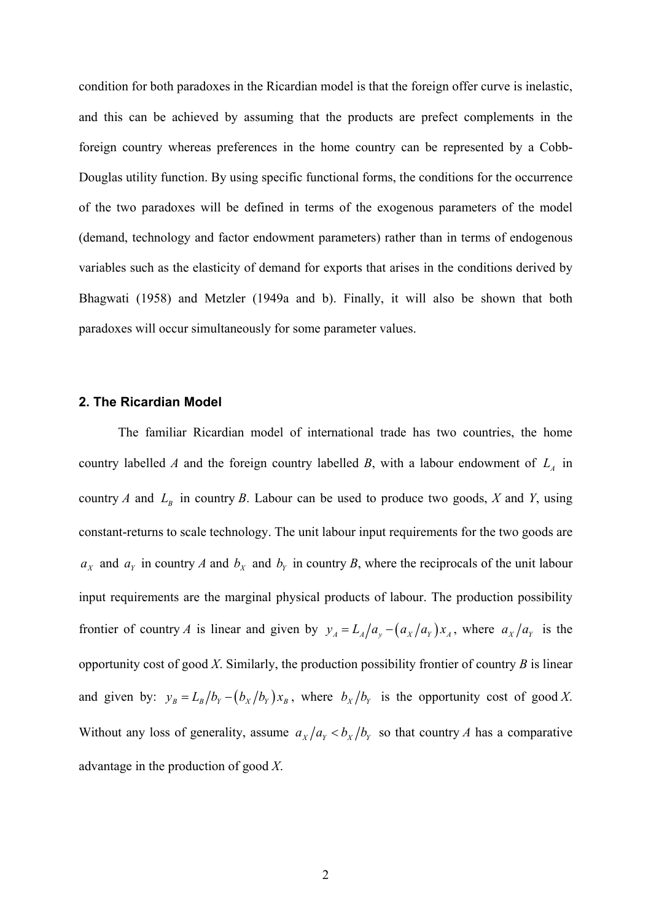condition for both paradoxes in the Ricardian model is that the foreign offer curve is inelastic, and this can be achieved by assuming that the products are prefect complements in the foreign country whereas preferences in the home country can be represented by a Cobb-Douglas utility function. By using specific functional forms, the conditions for the occurrence of the two paradoxes will be defined in terms of the exogenous parameters of the model (demand, technology and factor endowment parameters) rather than in terms of endogenous variables such as the elasticity of demand for exports that arises in the conditions derived by Bhagwati (1958) and Metzler (1949a and b). Finally, it will also be shown that both paradoxes will occur simultaneously for some parameter values.

## **2. The Ricardian Model**

The familiar Ricardian model of international trade has two countries, the home country labelled *A* and the foreign country labelled *B*, with a labour endowment of  $L_A$  in country *A* and  $L<sub>B</sub>$  in country *B*. Labour can be used to produce two goods, *X* and *Y*, using constant-returns to scale technology. The unit labour input requirements for the two goods are  $a_x$  and  $a_y$  in country *A* and  $b_x$  and  $b_y$  in country *B*, where the reciprocals of the unit labour input requirements are the marginal physical products of labour. The production possibility frontier of country *A* is linear and given by  $y_A = L_A/a_y - (a_x/a_y)x_A$ , where  $a_x/a_y$  is the opportunity cost of good *X*. Similarly, the production possibility frontier of country *B* is linear and given by:  $y_B = L_B / b_Y - (b_X / b_Y) x_B$ , where  $b_X / b_Y$  is the opportunity cost of good *X*. Without any loss of generality, assume  $a_X/a_Y < b_X/b_Y$  so that country *A* has a comparative advantage in the production of good *X*.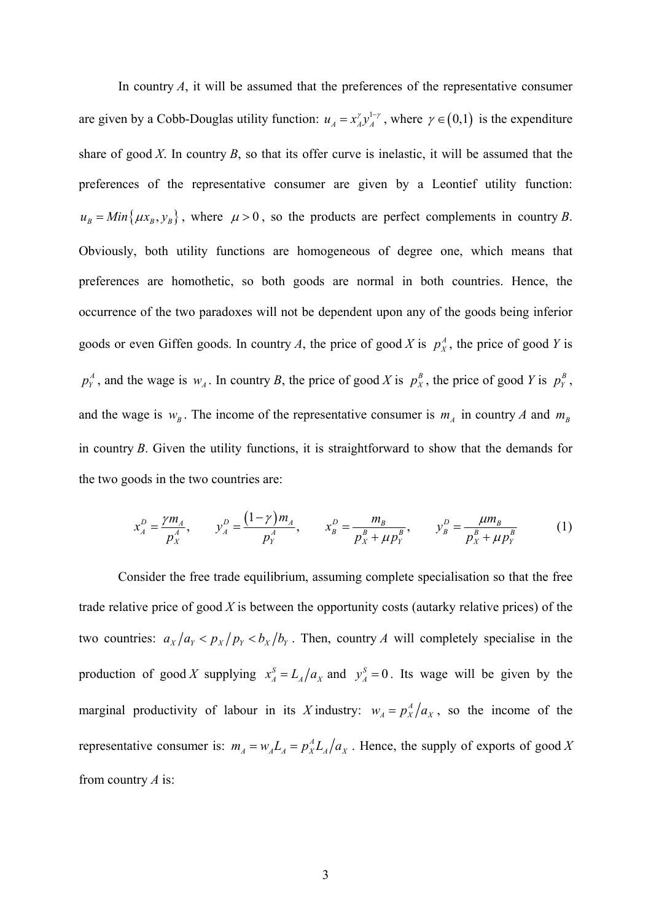In country *A*, it will be assumed that the preferences of the representative consumer are given by a Cobb-Douglas utility function:  $u_A = x_A^{\gamma} y_A^{1-\gamma}$ , where  $\gamma \in (0,1)$  is the expenditure share of good *X*. In country *B*, so that its offer curve is inelastic, it will be assumed that the preferences of the representative consumer are given by a Leontief utility function:  $u_B = Min\{\mu x_B, y_B\}$ , where  $\mu > 0$ , so the products are perfect complements in country *B*. Obviously, both utility functions are homogeneous of degree one, which means that preferences are homothetic, so both goods are normal in both countries. Hence, the occurrence of the two paradoxes will not be dependent upon any of the goods being inferior goods or even Giffen goods. In country *A*, the price of good *X* is  $p_x^A$ , the price of good *Y* is  $p_Y^A$ , and the wage is  $w_A$ . In country *B*, the price of good *X* is  $p_X^B$ , the price of good *Y* is  $p_Y^B$ , and the wage is  $w_B$ . The income of the representative consumer is  $m_A$  in country *A* and  $m_B$ in country *B*. Given the utility functions, it is straightforward to show that the demands for the two goods in the two countries are:

$$
x_A^D = \frac{\gamma m_A}{p_X^A}, \qquad y_A^D = \frac{(1-\gamma)m_A}{p_Y^A}, \qquad x_B^D = \frac{m_B}{p_X^B + \mu p_Y^B}, \qquad y_B^D = \frac{\mu m_B}{p_X^B + \mu p_Y^B} \tag{1}
$$

Consider the free trade equilibrium, assuming complete specialisation so that the free trade relative price of good *X* is between the opportunity costs (autarky relative prices) of the two countries:  $a_X/a_Y < p_X/p_Y < b_X/b_Y$ . Then, country *A* will completely specialise in the production of good *X* supplying  $x_A^S = L_A/a_X$  and  $y_A^S = 0$ . Its wage will be given by the marginal productivity of labour in its *X* industry:  $w_A = p_A^A / a_X$ , so the income of the representative consumer is:  $m_A = w_A L_A = p_A^A L_A / a_X$ . Hence, the supply of exports of good X from country *A* is: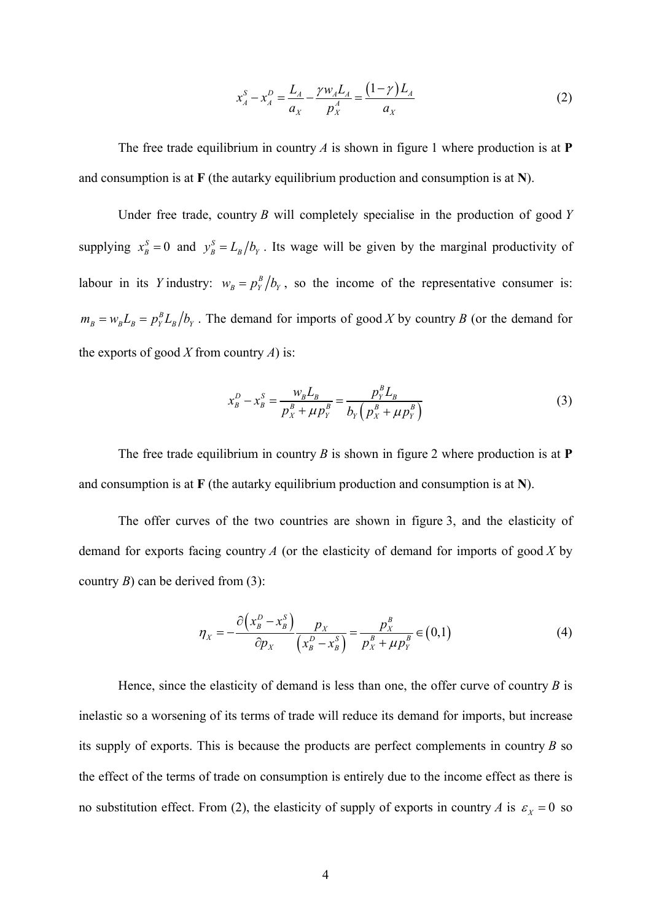$$
x_A^S - x_A^D = \frac{L_A}{a_X} - \frac{\gamma w_A L_A}{p_X^A} = \frac{(1 - \gamma) L_A}{a_X} \tag{2}
$$

The free trade equilibrium in country *A* is shown in figure 1 where production is at **P** and consumption is at **F** (the autarky equilibrium production and consumption is at **N**).

Under free trade, country *B* will completely specialise in the production of good *Y* supplying  $x_b^S = 0$  and  $y_b^S = L_b/b_y$ . Its wage will be given by the marginal productivity of labour in its *Y* industry:  $w_B = p_Y^B / b_Y$ , so the income of the representative consumer is:  $m_B = w_B L_B = p_Y^B L_B / b_Y$ . The demand for imports of good *X* by country *B* (or the demand for the exports of good *X* from country *A*) is:

$$
x_B^D - x_B^S = \frac{w_B L_B}{p_X^B + \mu p_Y^B} = \frac{p_Y^B L_B}{b_Y \left(p_X^B + \mu p_Y^B\right)}
$$
(3)

The free trade equilibrium in country *B* is shown in figure 2 where production is at **P** and consumption is at **F** (the autarky equilibrium production and consumption is at **N**).

The offer curves of the two countries are shown in figure 3, and the elasticity of demand for exports facing country *A* (or the elasticity of demand for imports of good *X* by country *B*) can be derived from (3):

$$
\eta_X = -\frac{\partial \left(x_B^D - x_B^S\right)}{\partial p_X} \frac{p_X}{\left(x_B^D - x_B^S\right)} = \frac{p_X^B}{p_X^B + \mu p_Y^B} \in (0,1)
$$
\n<sup>(4)</sup>

Hence, since the elasticity of demand is less than one, the offer curve of country *B* is inelastic so a worsening of its terms of trade will reduce its demand for imports, but increase its supply of exports. This is because the products are perfect complements in country *B* so the effect of the terms of trade on consumption is entirely due to the income effect as there is no substitution effect. From (2), the elasticity of supply of exports in country *A* is  $\varepsilon_X = 0$  so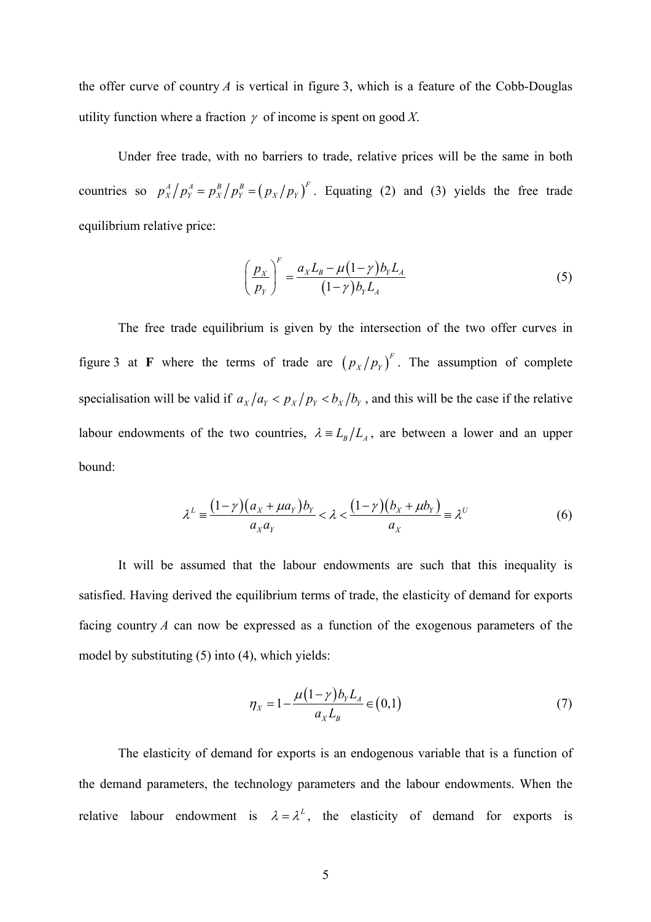the offer curve of country *A* is vertical in figure 3, which is a feature of the Cobb-Douglas utility function where a fraction  $\gamma$  of income is spent on good X.

Under free trade, with no barriers to trade, relative prices will be the same in both countries so  $p_x^A / p_y^A = p_x^B / p_y^B = (p_x / p_y)^F$ . Equating (2) and (3) yields the free trade equilibrium relative price:

$$
\left(\frac{p_{X}}{p_{Y}}\right)^{F} = \frac{a_{X}L_{B} - \mu(1-\gamma)b_{Y}L_{A}}{(1-\gamma)b_{Y}L_{A}}
$$
\n(5)

The free trade equilibrium is given by the intersection of the two offer curves in figure 3 at **F** where the terms of trade are  $(p_x/p_y)^F$ . The assumption of complete specialisation will be valid if  $a_x/a_y < p_x/p_y < b_x/b_y$ , and this will be the case if the relative labour endowments of the two countries,  $\lambda = L_B/L_A$ , are between a lower and an upper bound:

$$
\lambda^{L} = \frac{(1-\gamma)(a_{X} + \mu a_{Y})b_{Y}}{a_{X}a_{Y}} < \lambda < \frac{(1-\gamma)(b_{X} + \mu b_{Y})}{a_{X}} = \lambda^{U}
$$
(6)

It will be assumed that the labour endowments are such that this inequality is satisfied. Having derived the equilibrium terms of trade, the elasticity of demand for exports facing country *A* can now be expressed as a function of the exogenous parameters of the model by substituting (5) into (4), which yields:

$$
\eta_X = 1 - \frac{\mu (1 - \gamma) b_Y L_A}{a_X L_B} \in (0, 1)
$$
\n(7)

The elasticity of demand for exports is an endogenous variable that is a function of the demand parameters, the technology parameters and the labour endowments. When the relative labour endowment is  $\lambda = \lambda^L$ , the elasticity of demand for exports is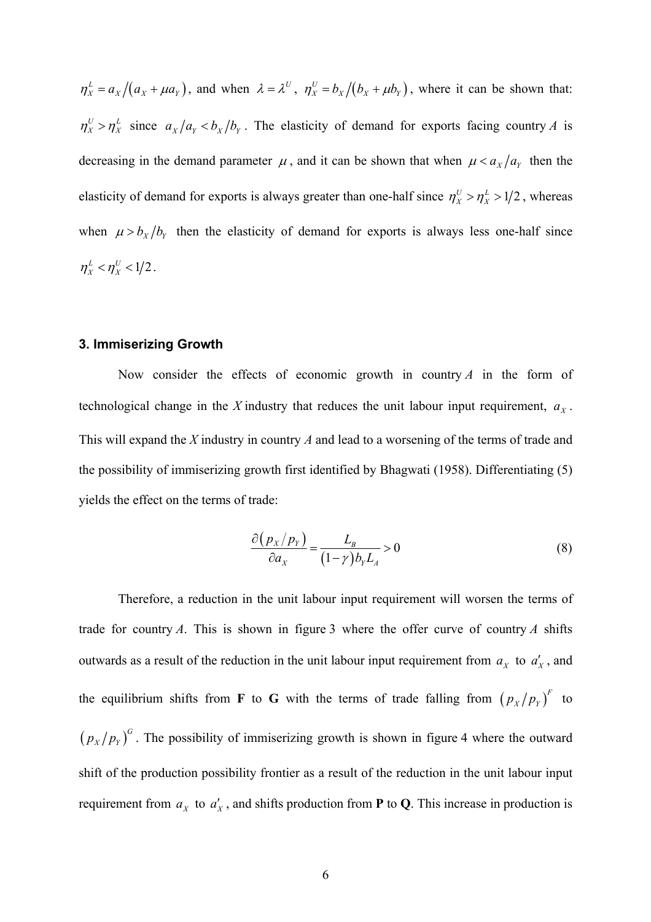$\eta_X^L = a_X/(a_X + \mu a_Y)$ , and when  $\lambda = \lambda^U$ ,  $\eta_X^U = b_X/(b_X + \mu b_Y)$ , where it can be shown that:  $\eta_X^U > \eta_X^L$  since  $a_X/a_Y < b_X/b_Y$ . The elasticity of demand for exports facing country *A* is decreasing in the demand parameter  $\mu$ , and it can be shown that when  $\mu < a_x/a_y$  then the elasticity of demand for exports is always greater than one-half since  $\eta_X^U > \eta_X^L > 1/2$ , whereas when  $\mu > b_x/b_y$  then the elasticity of demand for exports is always less one-half since  $\eta_{\rm v}^L < \eta_{\rm v}^U < 1/2$ .

### **3. Immiserizing Growth**

Now consider the effects of economic growth in country *A* in the form of technological change in the *X* industry that reduces the unit labour input requirement,  $a<sub>x</sub>$ . This will expand the *X* industry in country *A* and lead to a worsening of the terms of trade and the possibility of immiserizing growth first identified by Bhagwati (1958). Differentiating (5) yields the effect on the terms of trade:

$$
\frac{\partial (p_X/p_Y)}{\partial a_X} = \frac{L_B}{(1-\gamma)b_Y L_A} > 0
$$
\n(8)

Therefore, a reduction in the unit labour input requirement will worsen the terms of trade for country *A*. This is shown in figure 3 where the offer curve of country *A* shifts outwards as a result of the reduction in the unit labour input requirement from  $a_x$  to  $a'_x$ , and the equilibrium shifts from **F** to **G** with the terms of trade falling from  $(p_x/p_y)^F$  to  $(p_x/p_y)^G$ . The possibility of immiserizing growth is shown in figure 4 where the outward shift of the production possibility frontier as a result of the reduction in the unit labour input requirement from  $a_x$  to  $a'_x$ , and shifts production from **P** to **Q**. This increase in production is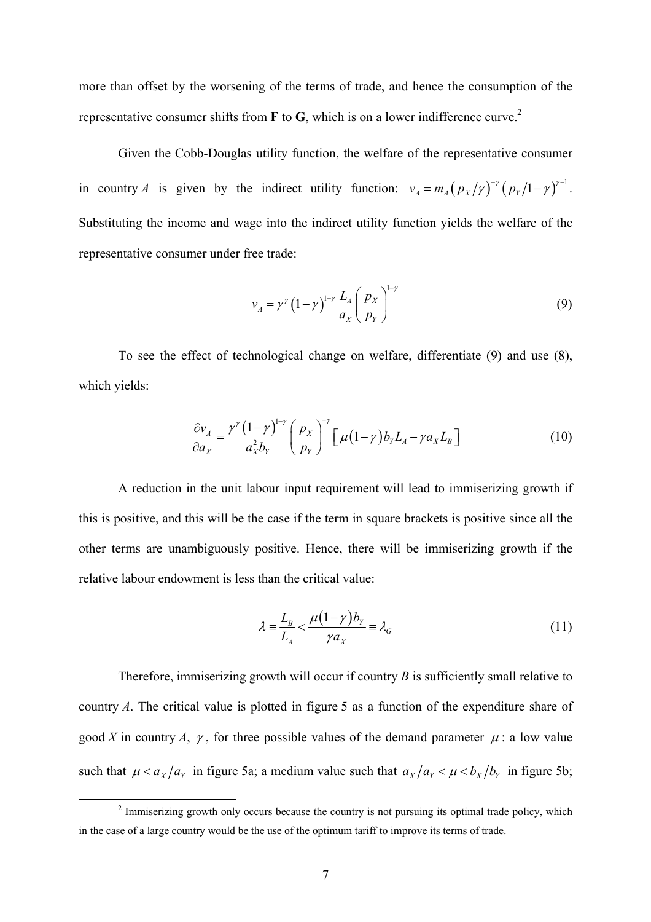more than offset by the worsening of the terms of trade, and hence the consumption of the representative consumer shifts from **F** to **G**, which is on a lower indifference curve.2

Given the Cobb-Douglas utility function, the welfare of the representative consumer in country *A* is given by the indirect utility function:  $v_A = m_A (p_X / \gamma)^{-\gamma} (p_Y / 1 - \gamma)^{\gamma - 1}$ . Substituting the income and wage into the indirect utility function yields the welfare of the representative consumer under free trade:

$$
v_A = \gamma^{\gamma} \left(1 - \gamma\right)^{1 - \gamma} \frac{L_A}{a_X} \left(\frac{p_X}{p_Y}\right)^{1 - \gamma} \tag{9}
$$

To see the effect of technological change on welfare, differentiate (9) and use (8), which yields:

$$
\frac{\partial v_A}{\partial a_X} = \frac{\gamma^{\gamma} (1 - \gamma)^{1 - \gamma}}{a_X^2 b_Y} \left( \frac{p_X}{p_Y} \right)^{-\gamma} \left[ \mu (1 - \gamma) b_Y L_A - \gamma a_X L_B \right]
$$
(10)

A reduction in the unit labour input requirement will lead to immiserizing growth if this is positive, and this will be the case if the term in square brackets is positive since all the other terms are unambiguously positive. Hence, there will be immiserizing growth if the relative labour endowment is less than the critical value:

$$
\lambda = \frac{L_B}{L_A} < \frac{\mu(1-\gamma)b_Y}{\gamma a_X} = \lambda_G \tag{11}
$$

Therefore, immiserizing growth will occur if country *B* is sufficiently small relative to country *A*. The critical value is plotted in figure 5 as a function of the expenditure share of good *X* in country *A*,  $\gamma$ , for three possible values of the demand parameter  $\mu$ : a low value such that  $\mu < a_X/a_Y$  in figure 5a; a medium value such that  $a_X/a_Y < \mu < b_X/b_Y$  in figure 5b;

 $\overline{\phantom{a}}$ <sup>2</sup> Immiserizing growth only occurs because the country is not pursuing its optimal trade policy, which in the case of a large country would be the use of the optimum tariff to improve its terms of trade.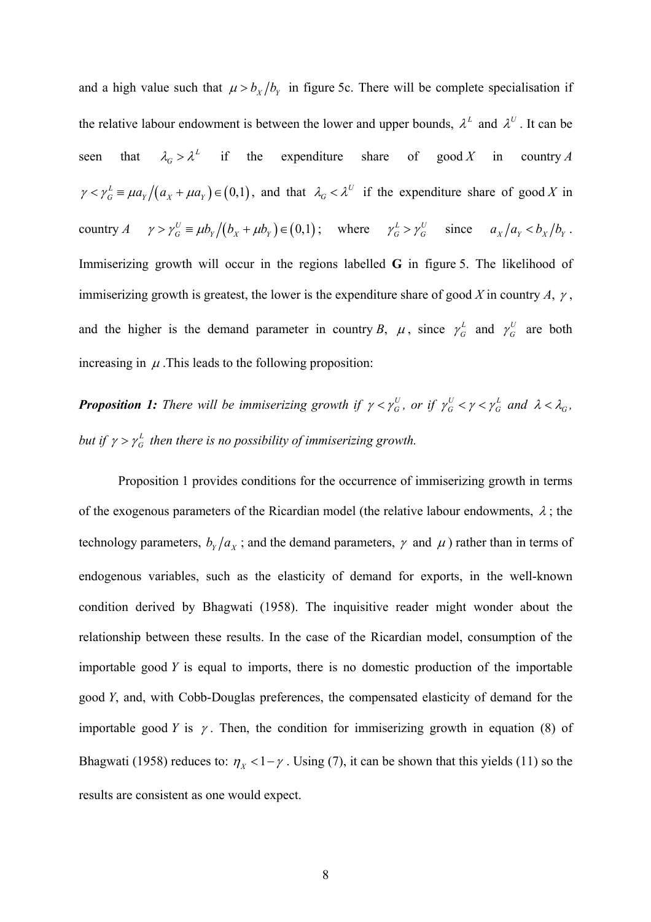and a high value such that  $\mu > b_x/b_y$  in figure 5c. There will be complete specialisation if the relative labour endowment is between the lower and upper bounds,  $\lambda^L$  and  $\lambda^U$ . It can be seen that  $\lambda_G > \lambda^L$  if the expenditure share of good *X* in country *A*  $\gamma < \gamma_G^L \equiv \mu a_Y/(a_X + \mu a_Y) \in (0,1)$ , and that  $\lambda_G < \lambda^U$  if the expenditure share of good X in country  $A \quad \gamma > \gamma_G^U \equiv \mu b_Y / (b_x + \mu b_y) \in (0,1)$ ; where  $\gamma_G^L > \gamma_G^U$  since  $a_x / a_y < b_x / b_y$ . Immiserizing growth will occur in the regions labelled **G** in figure 5. The likelihood of immiserizing growth is greatest, the lower is the expenditure share of good *X* in country *A*, <sup>γ</sup> , and the higher is the demand parameter in country *B*,  $\mu$ , since  $\gamma_G^L$  and  $\gamma_G^U$  are both increasing in  $\mu$ . This leads to the following proposition:

*Proposition 1: There will be immiserizing growth if*  $\gamma < \gamma_G^U$ *, or if*  $\gamma_G^U < \gamma < \gamma_G^L$  *and*  $\lambda < \lambda_G$ *, but if*  $\gamma > \gamma_G^L$  then there is no possibility of immiserizing growth.

Proposition 1 provides conditions for the occurrence of immiserizing growth in terms of the exogenous parameters of the Ricardian model (the relative labour endowments,  $\lambda$ ; the technology parameters,  $b_y/a_x$ ; and the demand parameters,  $\gamma$  and  $\mu$ ) rather than in terms of endogenous variables, such as the elasticity of demand for exports, in the well-known condition derived by Bhagwati (1958). The inquisitive reader might wonder about the relationship between these results. In the case of the Ricardian model, consumption of the importable good *Y* is equal to imports, there is no domestic production of the importable good *Y*, and, with Cobb-Douglas preferences, the compensated elasticity of demand for the importable good *Y* is  $\gamma$ . Then, the condition for immiserizing growth in equation (8) of Bhagwati (1958) reduces to:  $\eta_X < 1 - \gamma$ . Using (7), it can be shown that this yields (11) so the results are consistent as one would expect.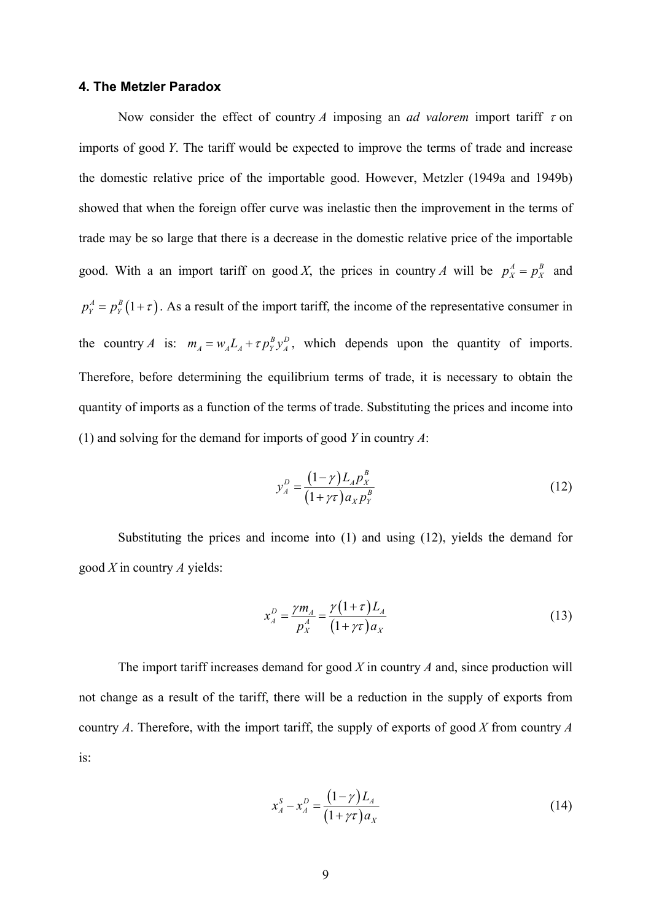#### **4. The Metzler Paradox**

Now consider the effect of country *A* imposing an *ad valorem* import tariff  $\tau$  on imports of good *Y*. The tariff would be expected to improve the terms of trade and increase the domestic relative price of the importable good. However, Metzler (1949a and 1949b) showed that when the foreign offer curve was inelastic then the improvement in the terms of trade may be so large that there is a decrease in the domestic relative price of the importable good. With a an import tariff on good *X*, the prices in country *A* will be  $p_x^A = p_x^B$  and  $p_Y^A = p_Y^B(1+\tau)$ . As a result of the import tariff, the income of the representative consumer in the country *A* is:  $m_A = w_A L_A + \tau p_Y^B y_A^D$ , which depends upon the quantity of imports. Therefore, before determining the equilibrium terms of trade, it is necessary to obtain the quantity of imports as a function of the terms of trade. Substituting the prices and income into (1) and solving for the demand for imports of good *Y* in country *A*:

$$
y_A^D = \frac{(1 - \gamma)L_A p_X^B}{(1 + \gamma \tau) a_X p_Y^B}
$$
 (12)

Substituting the prices and income into (1) and using (12), yields the demand for good *X* in country *A* yields:

$$
x_A^D = \frac{\gamma m_A}{p_X^A} = \frac{\gamma (1+\tau) L_A}{(1+\gamma \tau) a_X}
$$
 (13)

The import tariff increases demand for good *X* in country *A* and, since production will not change as a result of the tariff, there will be a reduction in the supply of exports from country *A*. Therefore, with the import tariff, the supply of exports of good *X* from country *A* is:

$$
x_A^S - x_A^D = \frac{(1 - \gamma)L_A}{(1 + \gamma \tau)a_X} \tag{14}
$$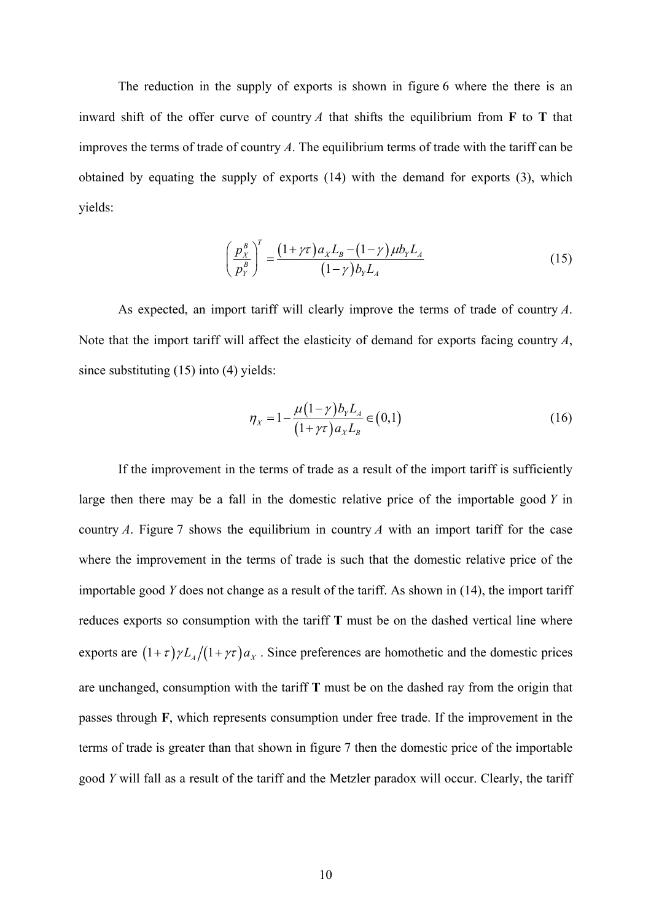The reduction in the supply of exports is shown in figure 6 where the there is an inward shift of the offer curve of country  $A$  that shifts the equilibrium from **F** to **T** that improves the terms of trade of country *A*. The equilibrium terms of trade with the tariff can be obtained by equating the supply of exports (14) with the demand for exports (3), which yields:

$$
\left(\frac{p_X^B}{p_Y^B}\right)^T = \frac{\left(1+\gamma\tau\right)a_X L_B - \left(1-\gamma\right)\mu b_Y L_A}{\left(1-\gamma\right)b_Y L_A} \tag{15}
$$

As expected, an import tariff will clearly improve the terms of trade of country *A*. Note that the import tariff will affect the elasticity of demand for exports facing country *A*, since substituting (15) into (4) yields:

$$
\eta_{X} = 1 - \frac{\mu (1 - \gamma) b_{Y} L_{A}}{(1 + \gamma \tau) a_{X} L_{B}} \in (0, 1)
$$
\n(16)

If the improvement in the terms of trade as a result of the import tariff is sufficiently large then there may be a fall in the domestic relative price of the importable good *Y* in country *A*. Figure 7 shows the equilibrium in country *A* with an import tariff for the case where the improvement in the terms of trade is such that the domestic relative price of the importable good *Y* does not change as a result of the tariff. As shown in (14), the import tariff reduces exports so consumption with the tariff **T** must be on the dashed vertical line where exports are  $(1+\tau)\gamma L_A/(1+\gamma\tau)a_x$ . Since preferences are homothetic and the domestic prices are unchanged, consumption with the tariff **T** must be on the dashed ray from the origin that passes through **F**, which represents consumption under free trade. If the improvement in the terms of trade is greater than that shown in figure 7 then the domestic price of the importable good *Y* will fall as a result of the tariff and the Metzler paradox will occur. Clearly, the tariff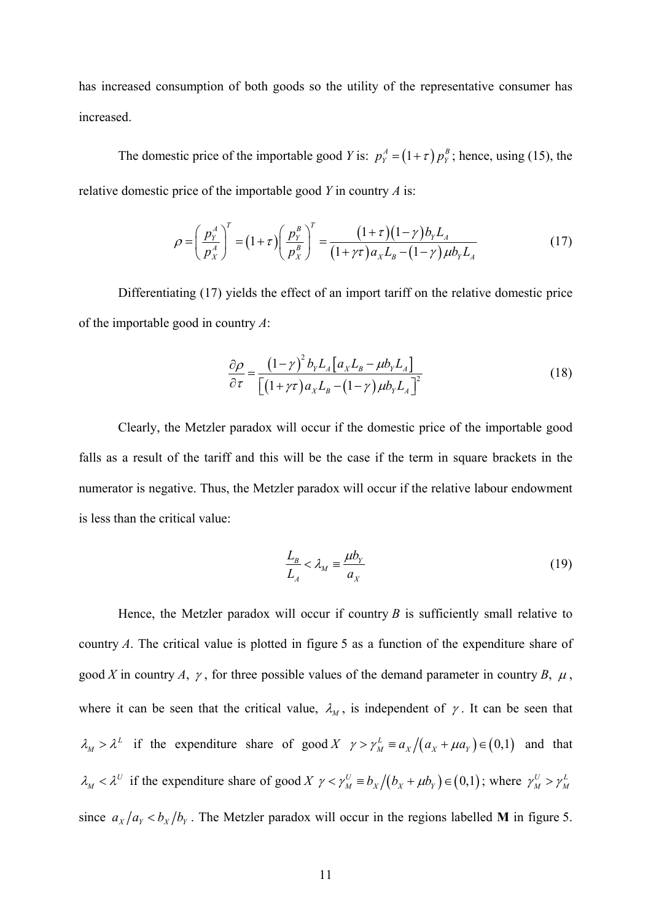has increased consumption of both goods so the utility of the representative consumer has increased.

The domestic price of the importable good *Y* is:  $p_Y^A = (1 + \tau) p_Y^B$ ; hence, using (15), the relative domestic price of the importable good *Y* in country *A* is:

$$
\rho = \left(\frac{p_Y^A}{p_X^A}\right)^T = \left(1+\tau\right)\left(\frac{p_Y^B}{p_X^B}\right)^T = \frac{\left(1+\tau\right)\left(1-\gamma\right)b_YL_A}{\left(1+\gamma\tau\right)a_XL_B-\left(1-\gamma\right)\mu b_YL_A} \tag{17}
$$

Differentiating (17) yields the effect of an import tariff on the relative domestic price of the importable good in country *A*:

$$
\frac{\partial \rho}{\partial \tau} = \frac{\left(1 - \gamma\right)^2 b_Y L_A \left[a_X L_B - \mu b_Y L_A\right]}{\left[\left(1 + \gamma \tau\right) a_X L_B - \left(1 - \gamma\right) \mu b_Y L_A\right]^2}
$$
(18)

Clearly, the Metzler paradox will occur if the domestic price of the importable good falls as a result of the tariff and this will be the case if the term in square brackets in the numerator is negative. Thus, the Metzler paradox will occur if the relative labour endowment is less than the critical value:

$$
\frac{L_B}{L_A} < \lambda_M \equiv \frac{\mu b_Y}{a_X} \tag{19}
$$

Hence, the Metzler paradox will occur if country  $B$  is sufficiently small relative to country *A*. The critical value is plotted in figure 5 as a function of the expenditure share of good *X* in country *A*,  $\gamma$ , for three possible values of the demand parameter in country *B*,  $\mu$ , where it can be seen that the critical value,  $\lambda_M$ , is independent of  $\gamma$ . It can be seen that  $\lambda_M > \lambda^L$  if the expenditure share of good *X*  $\gamma > \gamma_M^L \equiv a_X/(a_X + \mu a_Y) \in (0,1)$  and that  $\lambda_M < \lambda^U$  if the expenditure share of good *X*  $\gamma < \gamma_M^U \equiv b_X / (b_X + \mu b_Y) \in (0,1)$ ; where  $\gamma_M^U > \gamma_M^L$ since  $a_x/a_y < b_x/b_y$ . The Metzler paradox will occur in the regions labelled **M** in figure 5.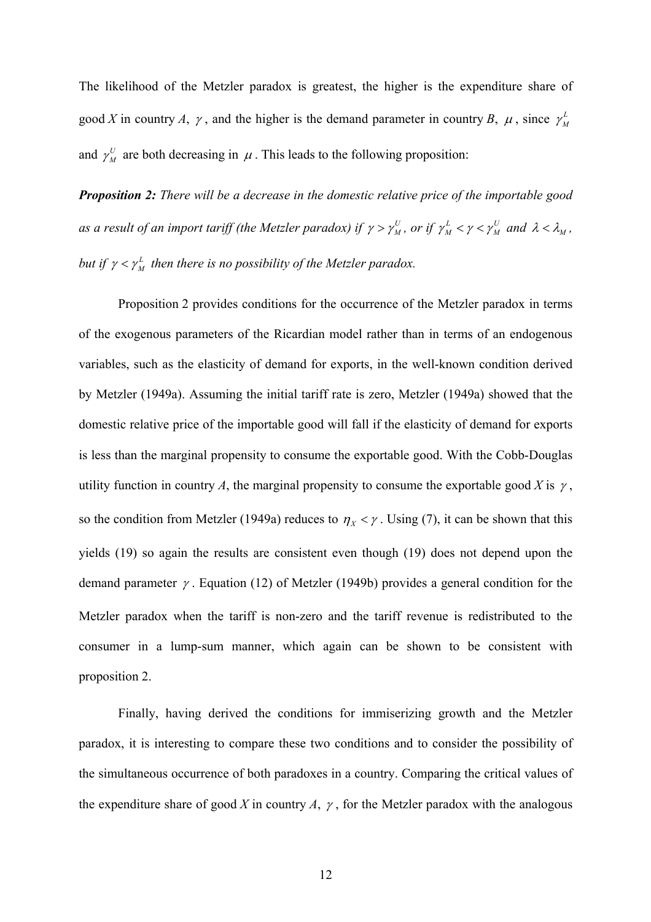The likelihood of the Metzler paradox is greatest, the higher is the expenditure share of good *X* in country *A*,  $\gamma$ , and the higher is the demand parameter in country *B*,  $\mu$ , since  $\gamma_M^L$ and  $\gamma_M^U$  are both decreasing in  $\mu$ . This leads to the following proposition:

*Proposition 2: There will be a decrease in the domestic relative price of the importable good as a result of an import tariff (the Metzler paradox) if*  $\gamma > \gamma_M^U$ *, or if*  $\gamma_M^L < \gamma < \gamma_M^U$  *and*  $\lambda < \lambda_M$ *, but if*  $\gamma < \gamma_M^L$  then there is no possibility of the Metzler paradox.

Proposition 2 provides conditions for the occurrence of the Metzler paradox in terms of the exogenous parameters of the Ricardian model rather than in terms of an endogenous variables, such as the elasticity of demand for exports, in the well-known condition derived by Metzler (1949a). Assuming the initial tariff rate is zero, Metzler (1949a) showed that the domestic relative price of the importable good will fall if the elasticity of demand for exports is less than the marginal propensity to consume the exportable good. With the Cobb-Douglas utility function in country *A*, the marginal propensity to consume the exportable good *X* is  $\gamma$ , so the condition from Metzler (1949a) reduces to  $\eta_X < \gamma$ . Using (7), it can be shown that this yields (19) so again the results are consistent even though (19) does not depend upon the demand parameter <sup>γ</sup> . Equation (12) of Metzler (1949b) provides a general condition for the Metzler paradox when the tariff is non-zero and the tariff revenue is redistributed to the consumer in a lump-sum manner, which again can be shown to be consistent with proposition 2.

Finally, having derived the conditions for immiserizing growth and the Metzler paradox, it is interesting to compare these two conditions and to consider the possibility of the simultaneous occurrence of both paradoxes in a country. Comparing the critical values of the expenditure share of good *X* in country *A*,  $\gamma$ , for the Metzler paradox with the analogous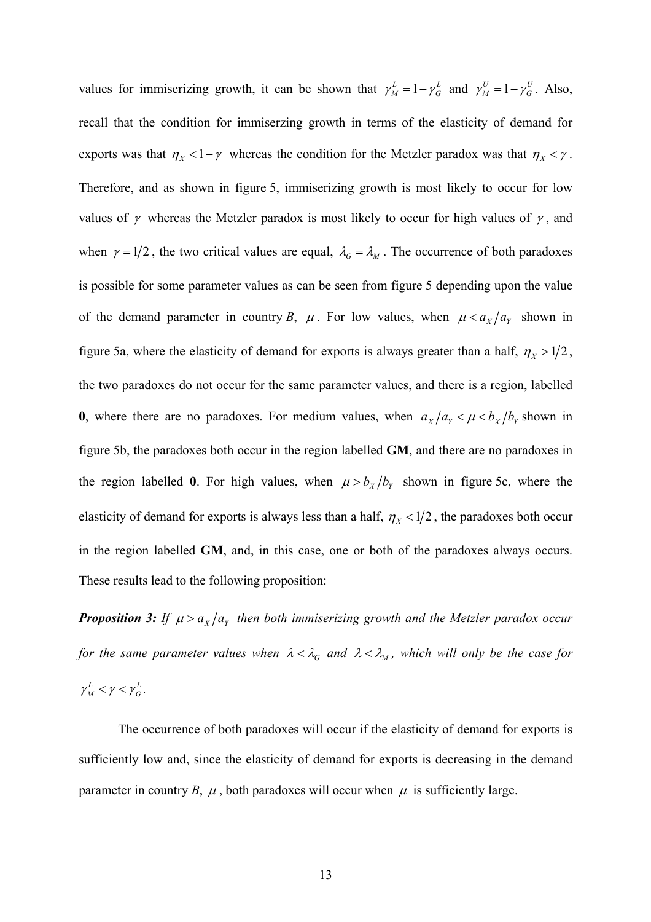values for immiserizing growth, it can be shown that  $\gamma_M^L = 1 - \gamma_G^L$  and  $\gamma_M^U = 1 - \gamma_G^U$ . Also, recall that the condition for immiserzing growth in terms of the elasticity of demand for exports was that  $\eta_X < 1 - \gamma$  whereas the condition for the Metzler paradox was that  $\eta_X < \gamma$ . Therefore, and as shown in figure 5, immiserizing growth is most likely to occur for low values of  $\gamma$  whereas the Metzler paradox is most likely to occur for high values of  $\gamma$ , and when  $\gamma = 1/2$ , the two critical values are equal,  $\lambda_G = \lambda_M$ . The occurrence of both paradoxes is possible for some parameter values as can be seen from figure 5 depending upon the value of the demand parameter in country *B*,  $\mu$ . For low values, when  $\mu < a_x/a_y$  shown in figure 5a, where the elasticity of demand for exports is always greater than a half,  $\eta_X > 1/2$ , the two paradoxes do not occur for the same parameter values, and there is a region, labelled **0**, where there are no paradoxes. For medium values, when  $a_x/a_y < \mu < b_x/b_y$  shown in figure 5b, the paradoxes both occur in the region labelled **GM**, and there are no paradoxes in the region labelled **0**. For high values, when  $\mu > b_x/b_y$  shown in figure 5c, where the elasticity of demand for exports is always less than a half,  $\eta_X < 1/2$ , the paradoxes both occur in the region labelled **GM**, and, in this case, one or both of the paradoxes always occurs. These results lead to the following proposition:

*Proposition 3: If*  $\mu > a_x/a_y$  *then both immiserizing growth and the Metzler paradox occur for the same parameter values when*  $\lambda < \lambda_G$  *and*  $\lambda < \lambda_M$ *, which will only be the case for*  $\gamma_M^L < \gamma < \gamma_G^L$ .

The occurrence of both paradoxes will occur if the elasticity of demand for exports is sufficiently low and, since the elasticity of demand for exports is decreasing in the demand parameter in country *B*,  $\mu$ , both paradoxes will occur when  $\mu$  is sufficiently large.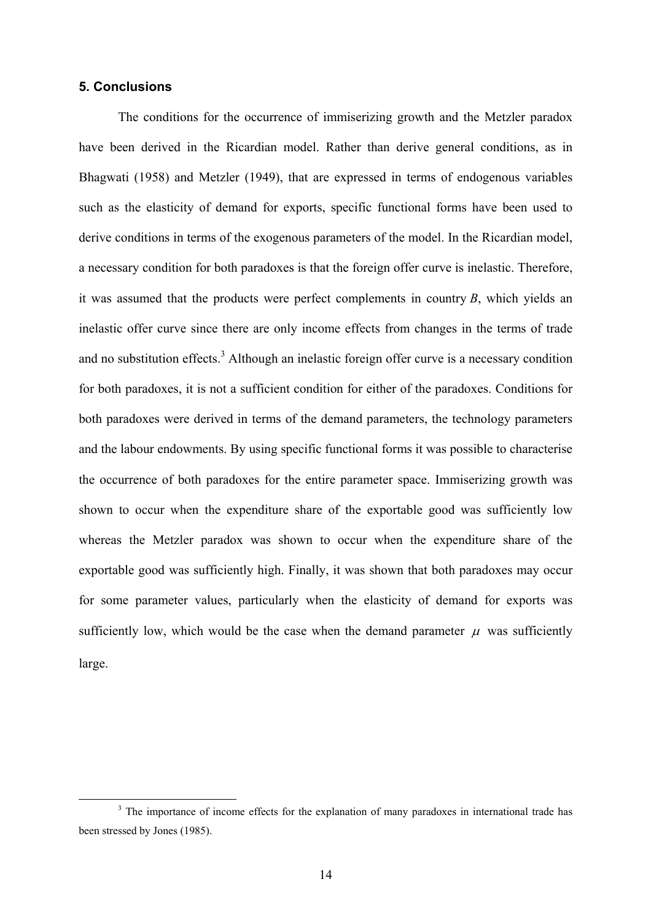#### **5. Conclusions**

The conditions for the occurrence of immiserizing growth and the Metzler paradox have been derived in the Ricardian model. Rather than derive general conditions, as in Bhagwati (1958) and Metzler (1949), that are expressed in terms of endogenous variables such as the elasticity of demand for exports, specific functional forms have been used to derive conditions in terms of the exogenous parameters of the model. In the Ricardian model, a necessary condition for both paradoxes is that the foreign offer curve is inelastic. Therefore, it was assumed that the products were perfect complements in country *B*, which yields an inelastic offer curve since there are only income effects from changes in the terms of trade and no substitution effects.<sup>3</sup> Although an inelastic foreign offer curve is a necessary condition for both paradoxes, it is not a sufficient condition for either of the paradoxes. Conditions for both paradoxes were derived in terms of the demand parameters, the technology parameters and the labour endowments. By using specific functional forms it was possible to characterise the occurrence of both paradoxes for the entire parameter space. Immiserizing growth was shown to occur when the expenditure share of the exportable good was sufficiently low whereas the Metzler paradox was shown to occur when the expenditure share of the exportable good was sufficiently high. Finally, it was shown that both paradoxes may occur for some parameter values, particularly when the elasticity of demand for exports was sufficiently low, which would be the case when the demand parameter  $\mu$  was sufficiently large.

 <sup>3</sup> <sup>3</sup> The importance of income effects for the explanation of many paradoxes in international trade has been stressed by Jones (1985).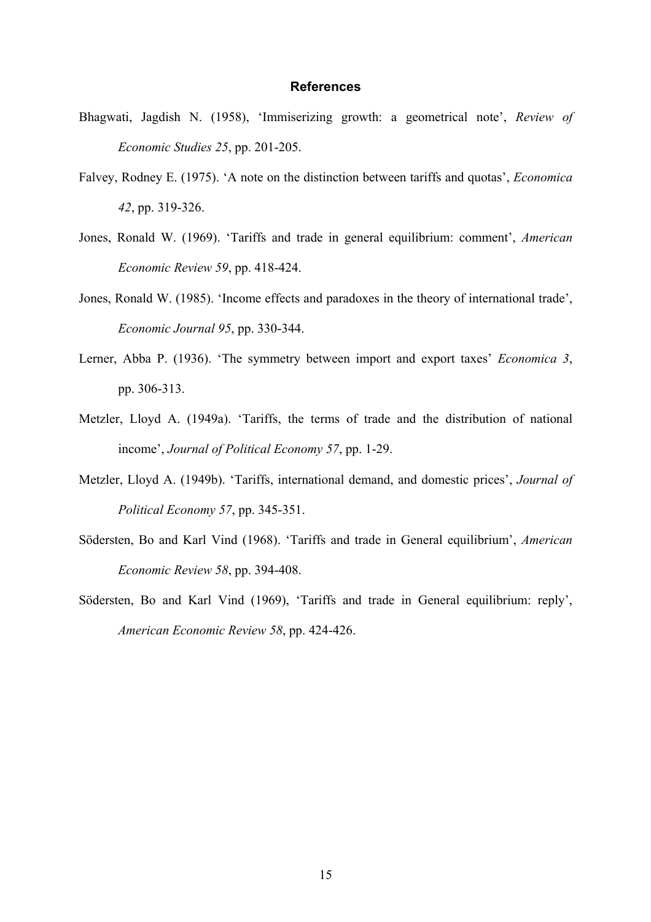### **References**

- Bhagwati, Jagdish N. (1958), 'Immiserizing growth: a geometrical note', *Review of Economic Studies 25*, pp. 201-205.
- Falvey, Rodney E. (1975). 'A note on the distinction between tariffs and quotas', *Economica 42*, pp. 319-326.
- Jones, Ronald W. (1969). 'Tariffs and trade in general equilibrium: comment', *American Economic Review 59*, pp. 418-424.
- Jones, Ronald W. (1985). 'Income effects and paradoxes in the theory of international trade', *Economic Journal 95*, pp. 330-344.
- Lerner, Abba P. (1936). 'The symmetry between import and export taxes' *Economica 3*, pp. 306-313.
- Metzler, Lloyd A. (1949a). 'Tariffs, the terms of trade and the distribution of national income', *Journal of Political Economy 57*, pp. 1-29.
- Metzler, Lloyd A. (1949b). 'Tariffs, international demand, and domestic prices', *Journal of Political Economy 57*, pp. 345-351.
- Södersten, Bo and Karl Vind (1968). 'Tariffs and trade in General equilibrium', *American Economic Review 58*, pp. 394-408.
- Södersten, Bo and Karl Vind (1969), 'Tariffs and trade in General equilibrium: reply', *American Economic Review 58*, pp. 424-426.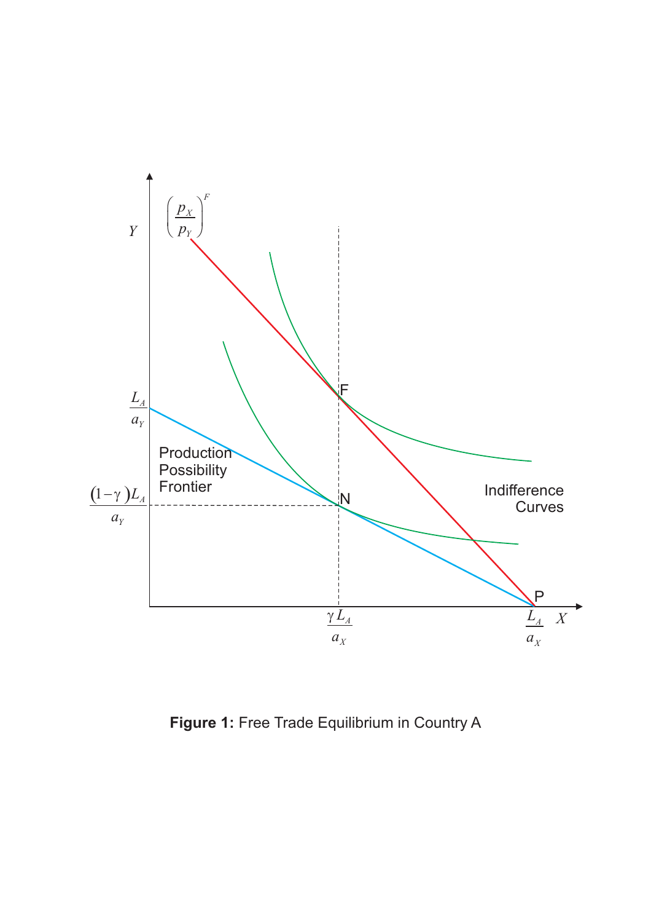

**Figure 1:** Free Trade Equilibrium in Country A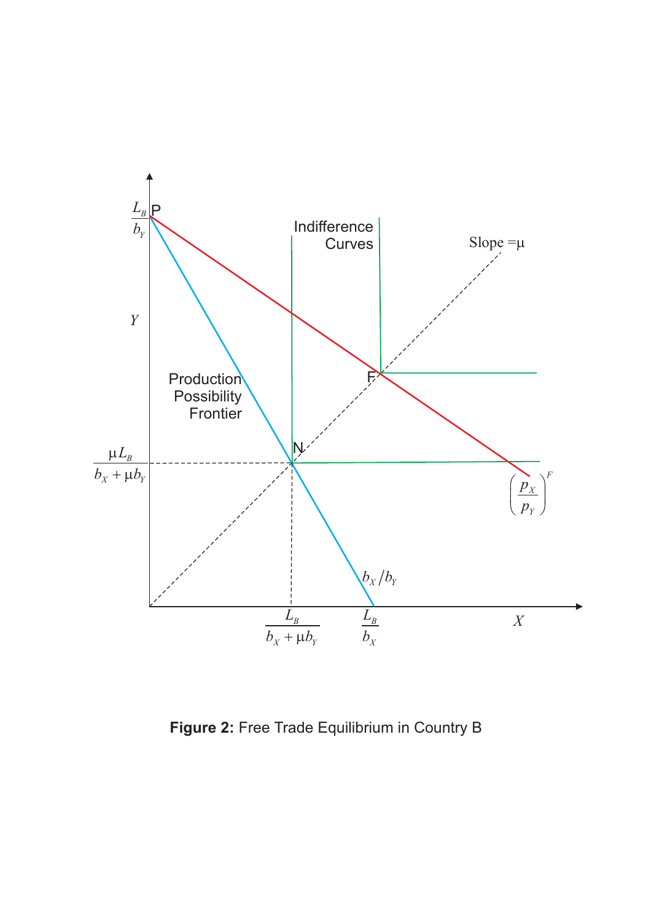

**Figure 2:** Free Trade Equilibrium in Country B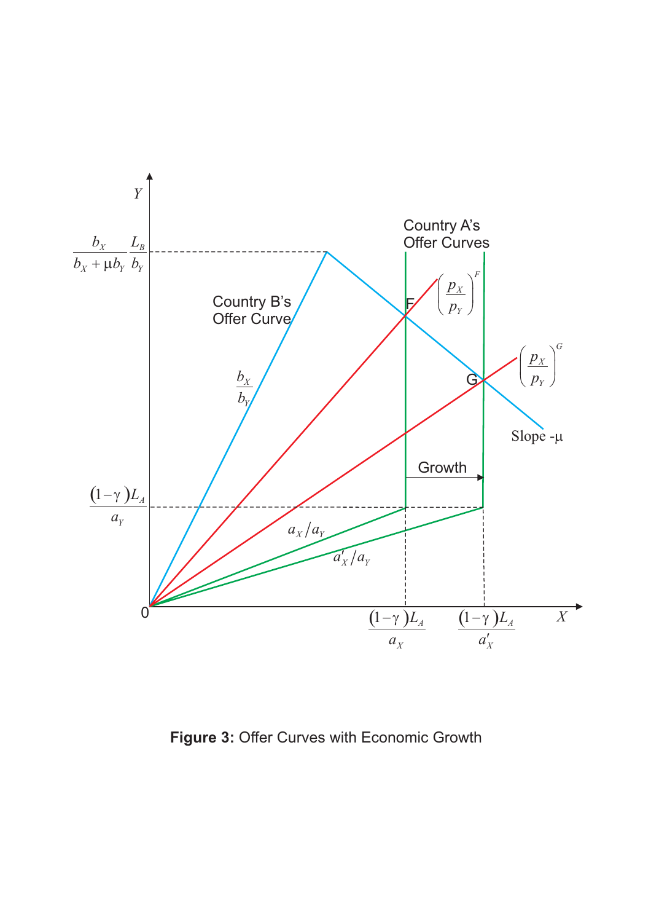

**Figure 3:** Offer Curves with Economic Growth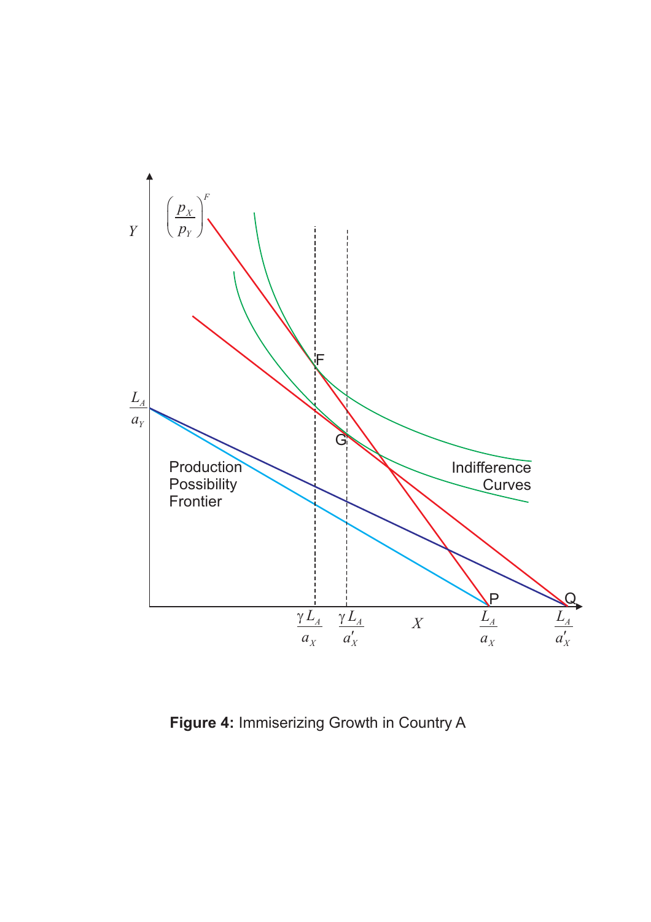

**Figure 4:** Immiserizing Growth in Country A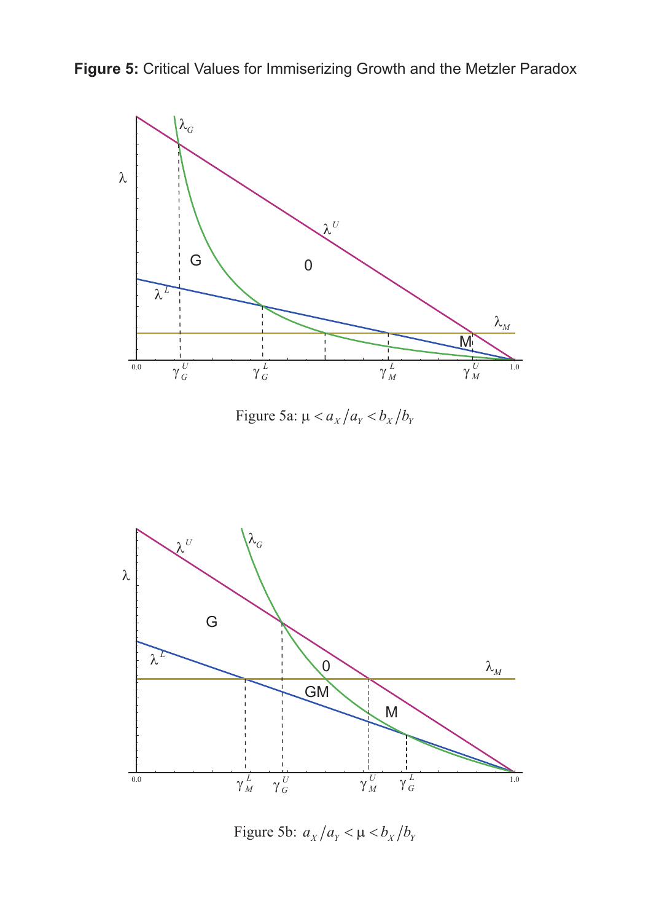**Figure 5:** Critical Values for Immiserizing Growth and the Metzler Paradox



Figure 5a:  $\mu < a_X/a_Y < b_X/b_Y$ 



Figure 5b:  $a_X/a_Y < \mu < b_X/b_Y$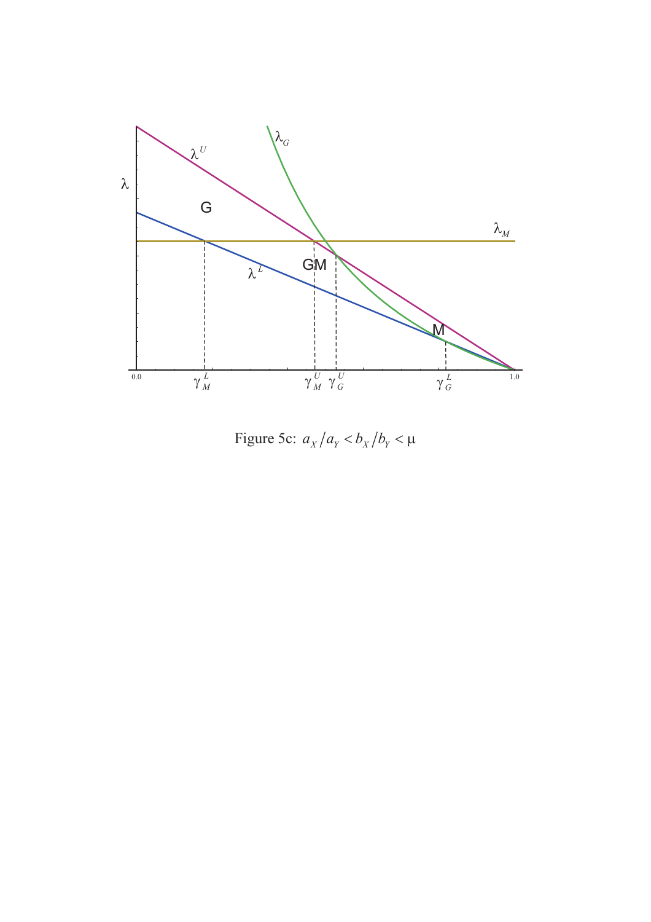

Figure 5c:  $a_X/a_Y < b_X/b_Y < \mu$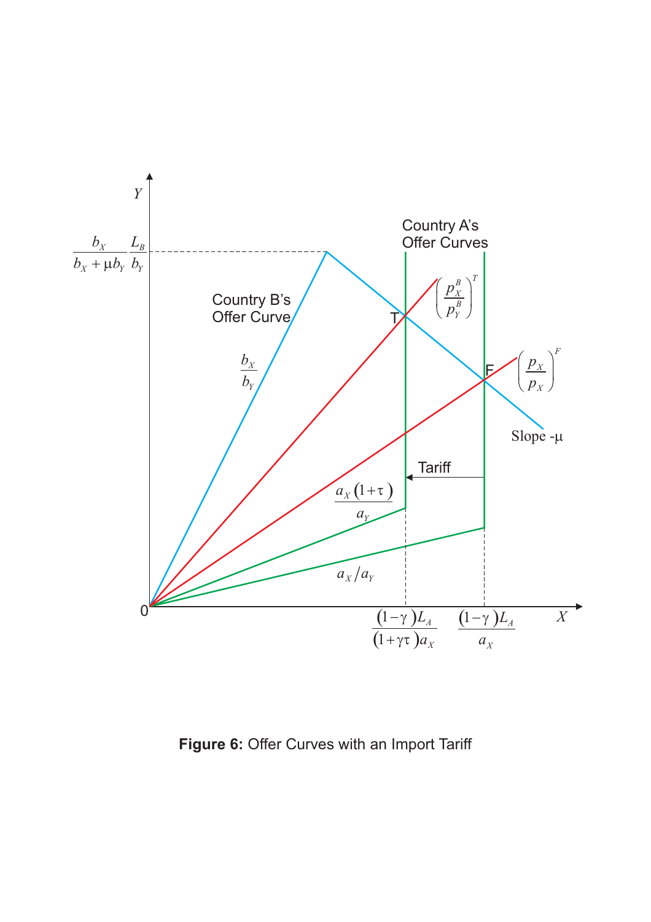

**Figure 6:** Offer Curves with an Import Tariff